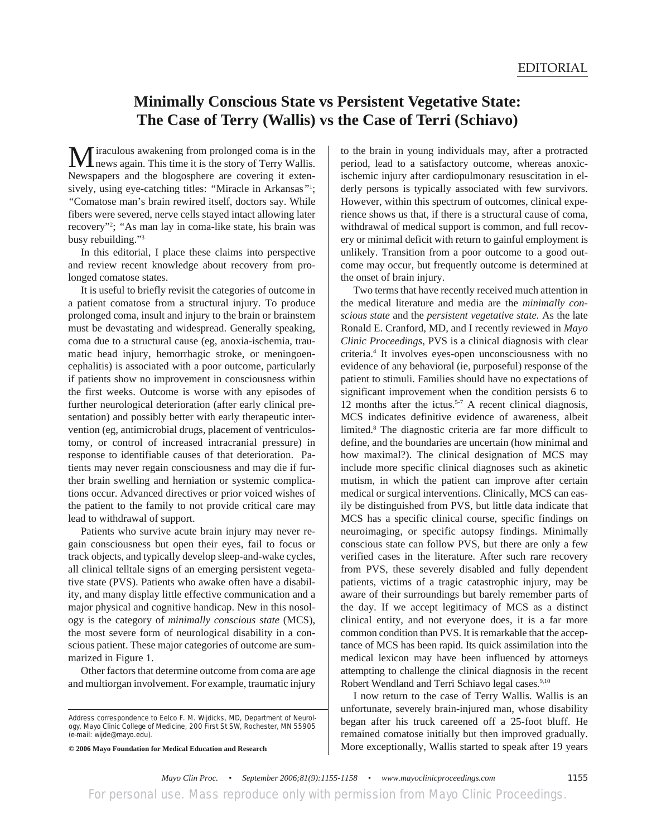## **Minimally Conscious State vs Persistent Vegetative State: The Case of Terry (Wallis) vs the Case of Terri (Schiavo)**

iraculous awakening from prolonged coma is in the **L** news again. This time it is the story of Terry Wallis. Newspapers and the blogosphere are covering it extensively, using eye-catching titles: *"*Miracle in Arkansas*"*<sup>1</sup> ; *"*Comatose man's brain rewired itself, doctors say. While fibers were severed, nerve cells stayed intact allowing later recovery"2 ; *"*As man lay in coma-like state, his brain was busy rebuilding."3

In this editorial, I place these claims into perspective and review recent knowledge about recovery from prolonged comatose states.

It is useful to briefly revisit the categories of outcome in a patient comatose from a structural injury. To produce prolonged coma, insult and injury to the brain or brainstem must be devastating and widespread. Generally speaking, coma due to a structural cause (eg, anoxia-ischemia, traumatic head injury, hemorrhagic stroke, or meningoencephalitis) is associated with a poor outcome, particularly if patients show no improvement in consciousness within the first weeks. Outcome is worse with any episodes of further neurological deterioration (after early clinical presentation) and possibly better with early therapeutic intervention (eg, antimicrobial drugs, placement of ventriculostomy, or control of increased intracranial pressure) in response to identifiable causes of that deterioration. Patients may never regain consciousness and may die if further brain swelling and herniation or systemic complications occur. Advanced directives or prior voiced wishes of the patient to the family to not provide critical care may lead to withdrawal of support.

Patients who survive acute brain injury may never regain consciousness but open their eyes, fail to focus or track objects, and typically develop sleep-and-wake cycles, all clinical telltale signs of an emerging persistent vegetative state (PVS). Patients who awake often have a disability, and many display little effective communication and a major physical and cognitive handicap. New in this nosology is the category of *minimally conscious state* (MCS), the most severe form of neurological disability in a conscious patient. These major categories of outcome are summarized in Figure 1.

Other factors that determine outcome from coma are age and multiorgan involvement. For example, traumatic injury

**© 2006 Mayo Foundation for Medical Education and Research**

to the brain in young individuals may, after a protracted period, lead to a satisfactory outcome, whereas anoxicischemic injury after cardiopulmonary resuscitation in elderly persons is typically associated with few survivors. However, within this spectrum of outcomes, clinical experience shows us that, if there is a structural cause of coma, withdrawal of medical support is common, and full recovery or minimal deficit with return to gainful employment is unlikely. Transition from a poor outcome to a good outcome may occur, but frequently outcome is determined at the onset of brain injury.

Two terms that have recently received much attention in the medical literature and media are the *minimally conscious state* and the *persistent vegetative state.* As the late Ronald E. Cranford, MD, and I recently reviewed in *Mayo Clinic Proceedings*, PVS is a clinical diagnosis with clear criteria.4 It involves eyes-open unconsciousness with no evidence of any behavioral (ie, purposeful) response of the patient to stimuli. Families should have no expectations of significant improvement when the condition persists 6 to 12 months after the ictus.<sup>5-7</sup> A recent clinical diagnosis, MCS indicates definitive evidence of awareness, albeit limited.8 The diagnostic criteria are far more difficult to define, and the boundaries are uncertain (how minimal and how maximal?). The clinical designation of MCS may include more specific clinical diagnoses such as akinetic mutism, in which the patient can improve after certain medical or surgical interventions. Clinically, MCS can easily be distinguished from PVS, but little data indicate that MCS has a specific clinical course, specific findings on neuroimaging, or specific autopsy findings. Minimally conscious state can follow PVS, but there are only a few verified cases in the literature. After such rare recovery from PVS, these severely disabled and fully dependent patients, victims of a tragic catastrophic injury, may be aware of their surroundings but barely remember parts of the day. If we accept legitimacy of MCS as a distinct clinical entity, and not everyone does, it is a far more common condition than PVS. It is remarkable that the acceptance of MCS has been rapid. Its quick assimilation into the medical lexicon may have been influenced by attorneys attempting to challenge the clinical diagnosis in the recent Robert Wendland and Terri Schiavo legal cases.<sup>9,10</sup>

I now return to the case of Terry Wallis. Wallis is an unfortunate, severely brain-injured man, whose disability began after his truck careened off a 25-foot bluff. He remained comatose initially but then improved gradually. More exceptionally, Wallis started to speak after 19 years

Address correspondence to Eelco F. M. Wijdicks, MD, Department of Neurology, Mayo Clinic College of Medicine, 200 First St SW, Rochester, MN 55905 (e-mail: wijde@mayo.edu).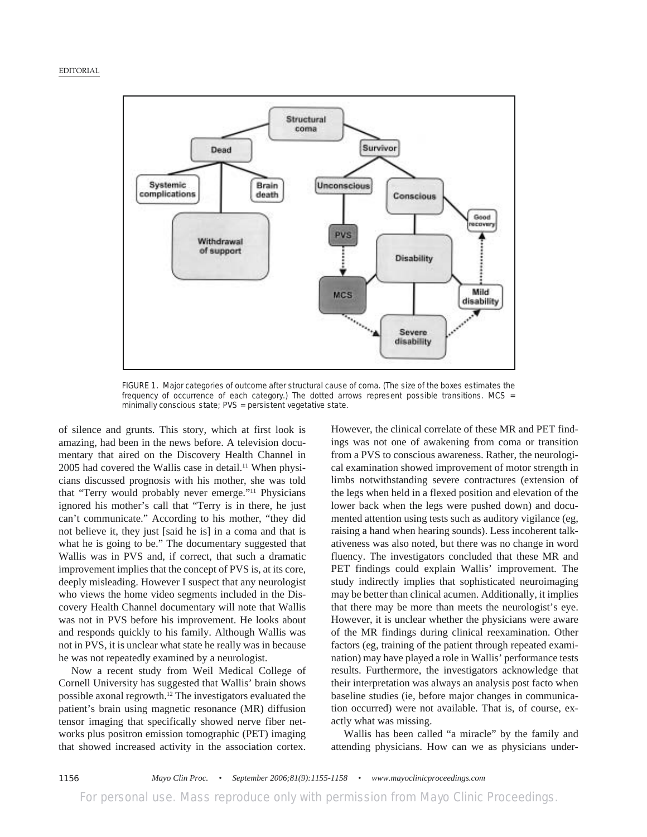

FIGURE 1. Major categories of outcome after structural cause of coma. (The size of the boxes estimates the frequency of occurrence of each category.) The dotted arrows represent possible transitions. MCS = minimally conscious state; PVS = persistent vegetative state.

of silence and grunts. This story, which at first look is amazing, had been in the news before. A television documentary that aired on the Discovery Health Channel in  $2005$  had covered the Wallis case in detail.<sup>11</sup> When physicians discussed prognosis with his mother, she was told that "Terry would probably never emerge."11 Physicians ignored his mother's call that "Terry is in there, he just can't communicate." According to his mother, "they did not believe it, they just [said he is] in a coma and that is what he is going to be." The documentary suggested that Wallis was in PVS and, if correct, that such a dramatic improvement implies that the concept of PVS is, at its core, deeply misleading. However I suspect that any neurologist who views the home video segments included in the Discovery Health Channel documentary will note that Wallis was not in PVS before his improvement. He looks about and responds quickly to his family. Although Wallis was not in PVS, it is unclear what state he really was in because he was not repeatedly examined by a neurologist.

Now a recent study from Weil Medical College of Cornell University has suggested that Wallis' brain shows possible axonal regrowth.12 The investigators evaluated the patient's brain using magnetic resonance (MR) diffusion tensor imaging that specifically showed nerve fiber networks plus positron emission tomographic (PET) imaging that showed increased activity in the association cortex.

However, the clinical correlate of these MR and PET findings was not one of awakening from coma or transition from a PVS to conscious awareness. Rather, the neurological examination showed improvement of motor strength in limbs notwithstanding severe contractures (extension of the legs when held in a flexed position and elevation of the lower back when the legs were pushed down) and documented attention using tests such as auditory vigilance (eg, raising a hand when hearing sounds). Less incoherent talkativeness was also noted, but there was no change in word fluency. The investigators concluded that these MR and PET findings could explain Wallis' improvement. The study indirectly implies that sophisticated neuroimaging may be better than clinical acumen. Additionally, it implies that there may be more than meets the neurologist's eye. However, it is unclear whether the physicians were aware of the MR findings during clinical reexamination. Other factors (eg, training of the patient through repeated examination) may have played a role in Wallis' performance tests results. Furthermore, the investigators acknowledge that their interpretation was always an analysis post facto when baseline studies (ie, before major changes in communication occurred) were not available. That is, of course, exactly what was missing.

Wallis has been called "a miracle" by the family and attending physicians. How can we as physicians under-

For personal use. Mass reproduce only with permission from *Mayo Clinic Proceedings.*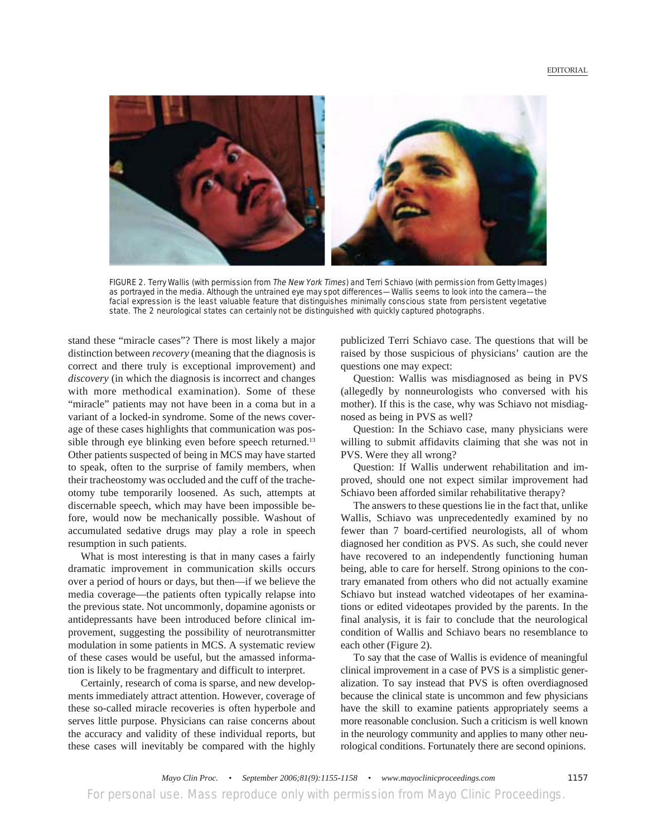

FIGURE 2. Terry Wallis (with permission from The New York Times) and Terri Schiavo (with permission from Getty Images) as portrayed in the media. Although the untrained eye may spot differences—Wallis seems to look into the camera—the facial expression is the least valuable feature that distinguishes minimally conscious state from persistent vegetative state. The 2 neurological states can certainly not be distinguished with quickly captured photographs.

stand these "miracle cases"? There is most likely a major distinction between *recovery* (meaning that the diagnosis is correct and there truly is exceptional improvement) and *discovery* (in which the diagnosis is incorrect and changes with more methodical examination). Some of these "miracle" patients may not have been in a coma but in a variant of a locked-in syndrome. Some of the news coverage of these cases highlights that communication was possible through eye blinking even before speech returned.<sup>13</sup> Other patients suspected of being in MCS may have started to speak, often to the surprise of family members, when their tracheostomy was occluded and the cuff of the tracheotomy tube temporarily loosened. As such, attempts at discernable speech, which may have been impossible before, would now be mechanically possible. Washout of accumulated sedative drugs may play a role in speech resumption in such patients.

What is most interesting is that in many cases a fairly dramatic improvement in communication skills occurs over a period of hours or days, but then—if we believe the media coverage—the patients often typically relapse into the previous state. Not uncommonly, dopamine agonists or antidepressants have been introduced before clinical improvement, suggesting the possibility of neurotransmitter modulation in some patients in MCS. A systematic review of these cases would be useful, but the amassed information is likely to be fragmentary and difficult to interpret.

Certainly, research of coma is sparse, and new developments immediately attract attention. However, coverage of these so-called miracle recoveries is often hyperbole and serves little purpose. Physicians can raise concerns about the accuracy and validity of these individual reports, but these cases will inevitably be compared with the highly publicized Terri Schiavo case. The questions that will be raised by those suspicious of physicians' caution are the questions one may expect:

Question: Wallis was misdiagnosed as being in PVS (allegedly by nonneurologists who conversed with his mother). If this is the case, why was Schiavo not misdiagnosed as being in PVS as well?

Question: In the Schiavo case, many physicians were willing to submit affidavits claiming that she was not in PVS. Were they all wrong?

Question: If Wallis underwent rehabilitation and improved, should one not expect similar improvement had Schiavo been afforded similar rehabilitative therapy?

The answers to these questions lie in the fact that, unlike Wallis, Schiavo was unprecedentedly examined by no fewer than 7 board-certified neurologists, all of whom diagnosed her condition as PVS. As such, she could never have recovered to an independently functioning human being, able to care for herself. Strong opinions to the contrary emanated from others who did not actually examine Schiavo but instead watched videotapes of her examinations or edited videotapes provided by the parents. In the final analysis, it is fair to conclude that the neurological condition of Wallis and Schiavo bears no resemblance to each other (Figure 2).

To say that the case of Wallis is evidence of meaningful clinical improvement in a case of PVS is a simplistic generalization. To say instead that PVS is often overdiagnosed because the clinical state is uncommon and few physicians have the skill to examine patients appropriately seems a more reasonable conclusion. Such a criticism is well known in the neurology community and applies to many other neurological conditions. Fortunately there are second opinions.